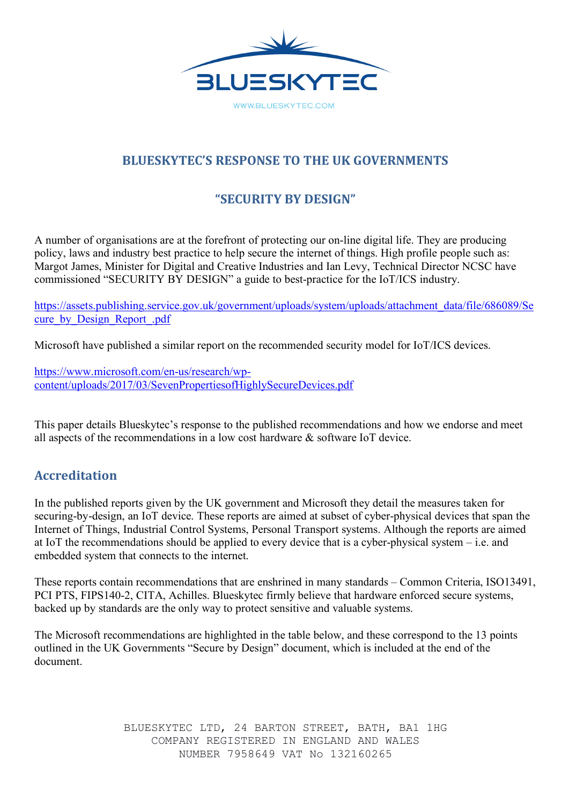

# **BLUESKYTEC'S RESPONSE TO THE UK GOVERNMENTS**

# **"SECURITY BY DESIGN"**

A number of organisations are at the forefront of protecting our on-line digital life. They are producing policy, laws and industry best practice to help secure the internet of things. High profile people such as: Margot James, Minister for Digital and Creative Industries and Ian Levy, Technical Director NCSC have commissioned "SECURITY BY DESIGN" a guide to best-practice for the IoT/ICS industry.

https://assets.publishing.service.gov.uk/government/uploads/system/uploads/attachment\_data/file/686089/Se cure by Design Report .pdf

Microsoft have published a similar report on the recommended security model for IoT/ICS devices.

https://www.microsoft.com/en-us/research/wpcontent/uploads/2017/03/SevenPropertiesofHighlySecureDevices.pdf

This paper details Blueskytec's response to the published recommendations and how we endorse and meet all aspects of the recommendations in a low cost hardware & software IoT device.

## **Accreditation**

In the published reports given by the UK government and Microsoft they detail the measures taken for securing-by-design, an IoT device. These reports are aimed at subset of cyber-physical devices that span the Internet of Things, Industrial Control Systems, Personal Transport systems. Although the reports are aimed at IoT the recommendations should be applied to every device that is a cyber-physical system – i.e. and embedded system that connects to the internet.

These reports contain recommendations that are enshrined in many standards – Common Criteria, ISO13491, PCI PTS, FIPS140-2, CITA, Achilles. Blueskytec firmly believe that hardware enforced secure systems, backed up by standards are the only way to protect sensitive and valuable systems.

The Microsoft recommendations are highlighted in the table below, and these correspond to the 13 points outlined in the UK Governments "Secure by Design" document, which is included at the end of the document.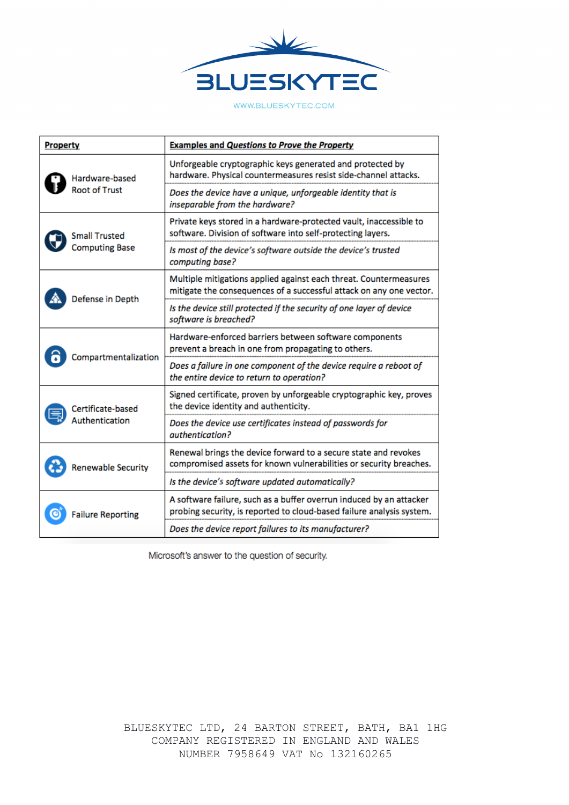

WWW.BLUESKYTEC.COM

| Property                                      | <b>Examples and Questions to Prove the Property</b>                                                                                          |
|-----------------------------------------------|----------------------------------------------------------------------------------------------------------------------------------------------|
| Hardware-based<br><b>Root of Trust</b>        | Unforgeable cryptographic keys generated and protected by<br>hardware. Physical countermeasures resist side-channel attacks.                 |
|                                               | Does the device have a unique, unforgeable identity that is<br>inseparable from the hardware?                                                |
| <b>Small Trusted</b><br><b>Computing Base</b> | Private keys stored in a hardware-protected vault, inaccessible to<br>software. Division of software into self-protecting layers.            |
|                                               | Is most of the device's software outside the device's trusted<br>computing base?                                                             |
| Defense in Depth                              | Multiple mitigations applied against each threat. Countermeasures<br>mitigate the consequences of a successful attack on any one vector.     |
|                                               | Is the device still protected if the security of one layer of device<br>software is breached?                                                |
| Compartmentalization                          | Hardware-enforced barriers between software components<br>prevent a breach in one from propagating to others.                                |
|                                               | Does a failure in one component of the device require a reboot of<br>the entire device to return to operation?                               |
| Certificate-based<br>Authentication           | Signed certificate, proven by unforgeable cryptographic key, proves<br>the device identity and authenticity.                                 |
|                                               | Does the device use certificates instead of passwords for<br>authentication?                                                                 |
| <b>Renewable Security</b>                     | Renewal brings the device forward to a secure state and revokes<br>compromised assets for known vulnerabilities or security breaches.        |
|                                               | Is the device's software updated automatically?                                                                                              |
| <b>Failure Reporting</b>                      | A software failure, such as a buffer overrun induced by an attacker<br>probing security, is reported to cloud-based failure analysis system. |
|                                               | Does the device report failures to its manufacturer?                                                                                         |

Microsoft's answer to the question of security.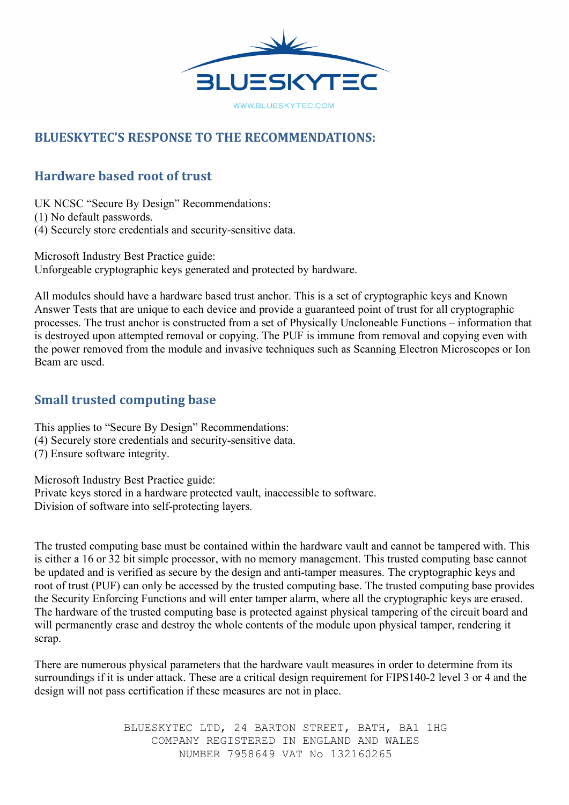

# **BLUESKYTEC'S RESPONSE TO THE RECOMMENDATIONS:**

# **Hardware based root of trust**

UK NCSC "Secure By Design" Recommendations:

(1) No default passwords.

(4) Securely store credentials and security-sensitive data.

Microsoft Industry Best Practice guide: Unforgeable cryptographic keys generated and protected by hardware.

All modules should have a hardware based trust anchor. This is a set of cryptographic keys and Known Answer Tests that are unique to each device and provide a guaranteed point of trust for all cryptographic processes. The trust anchor is constructed from a set of Physically Uncloneable Functions – information that is destroyed upon attempted removal or copying. The PUF is immune from removal and copying even with the power removed from the module and invasive techniques such as Scanning Electron Microscopes or Ion Beam are used.

# **Small trusted computing base**

This applies to "Secure By Design" Recommendations:

- (4) Securely store credentials and security-sensitive data.
- (7) Ensure software integrity.

Microsoft Industry Best Practice guide:

Private keys stored in a hardware protected vault, inaccessible to software. Division of software into self-protecting layers.

The trusted computing base must be contained within the hardware vault and cannot be tampered with. This is either a 16 or 32 bit simple processor, with no memory management. This trusted computing base cannot be updated and is verified as secure by the design and anti-tamper measures. The cryptographic keys and root of trust (PUF) can only be accessed by the trusted computing base. The trusted computing base provides the Security Enforcing Functions and will enter tamper alarm, where all the cryptographic keys are erased. The hardware of the trusted computing base is protected against physical tampering of the circuit board and will permanently erase and destroy the whole contents of the module upon physical tamper, rendering it scrap.

There are numerous physical parameters that the hardware vault measures in order to determine from its surroundings if it is under attack. These are a critical design requirement for FIPS140-2 level 3 or 4 and the design will not pass certification if these measures are not in place.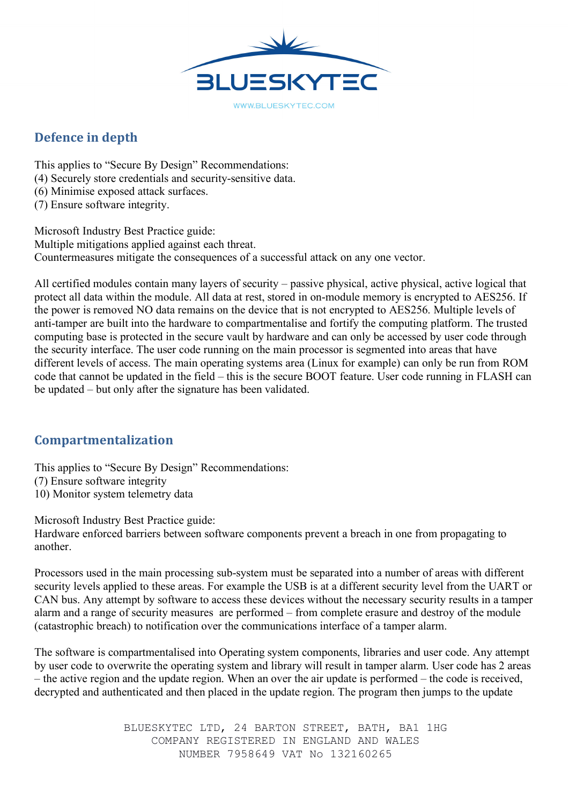

# **Defence in depth**

This applies to "Secure By Design" Recommendations: (4) Securely store credentials and security-sensitive data. (6) Minimise exposed attack surfaces.

(7) Ensure software integrity.

Microsoft Industry Best Practice guide: Multiple mitigations applied against each threat. Countermeasures mitigate the consequences of a successful attack on any one vector.

All certified modules contain many layers of security – passive physical, active physical, active logical that protect all data within the module. All data at rest, stored in on-module memory is encrypted to AES256. If the power is removed NO data remains on the device that is not encrypted to AES256. Multiple levels of anti-tamper are built into the hardware to compartmentalise and fortify the computing platform. The trusted computing base is protected in the secure vault by hardware and can only be accessed by user code through the security interface. The user code running on the main processor is segmented into areas that have different levels of access. The main operating systems area (Linux for example) can only be run from ROM code that cannot be updated in the field – this is the secure BOOT feature. User code running in FLASH can be updated – but only after the signature has been validated.

## **Compartmentalization**

This applies to "Secure By Design" Recommendations: (7) Ensure software integrity 10) Monitor system telemetry data

Microsoft Industry Best Practice guide:

Hardware enforced barriers between software components prevent a breach in one from propagating to another.

Processors used in the main processing sub-system must be separated into a number of areas with different security levels applied to these areas. For example the USB is at a different security level from the UART or CAN bus. Any attempt by software to access these devices without the necessary security results in a tamper alarm and a range of security measures are performed – from complete erasure and destroy of the module (catastrophic breach) to notification over the communications interface of a tamper alarm.

The software is compartmentalised into Operating system components, libraries and user code. Any attempt by user code to overwrite the operating system and library will result in tamper alarm. User code has 2 areas – the active region and the update region. When an over the air update is performed – the code is received, decrypted and authenticated and then placed in the update region. The program then jumps to the update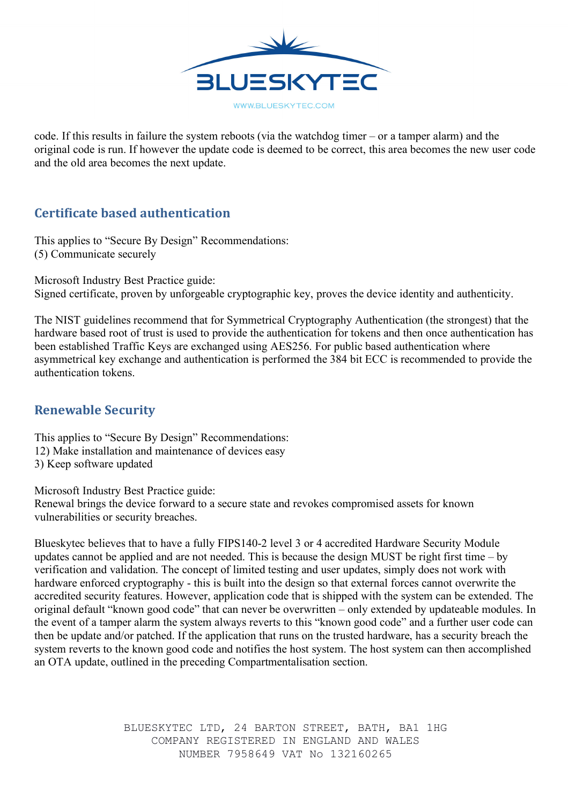

code. If this results in failure the system reboots (via the watchdog timer – or a tamper alarm) and the original code is run. If however the update code is deemed to be correct, this area becomes the new user code and the old area becomes the next update.

## **Certificate based authentication**

This applies to "Secure By Design" Recommendations: (5) Communicate securely

Microsoft Industry Best Practice guide:

Signed certificate, proven by unforgeable cryptographic key, proves the device identity and authenticity.

The NIST guidelines recommend that for Symmetrical Cryptography Authentication (the strongest) that the hardware based root of trust is used to provide the authentication for tokens and then once authentication has been established Traffic Keys are exchanged using AES256. For public based authentication where asymmetrical key exchange and authentication is performed the 384 bit ECC is recommended to provide the authentication tokens.

# **Renewable Security**

This applies to "Secure By Design" Recommendations: 12) Make installation and maintenance of devices easy 3) Keep software updated

Microsoft Industry Best Practice guide:

Renewal brings the device forward to a secure state and revokes compromised assets for known vulnerabilities or security breaches.

Blueskytec believes that to have a fully FIPS140-2 level 3 or 4 accredited Hardware Security Module updates cannot be applied and are not needed. This is because the design MUST be right first time – by verification and validation. The concept of limited testing and user updates, simply does not work with hardware enforced cryptography - this is built into the design so that external forces cannot overwrite the accredited security features. However, application code that is shipped with the system can be extended. The original default "known good code" that can never be overwritten – only extended by updateable modules. In the event of a tamper alarm the system always reverts to this "known good code" and a further user code can then be update and/or patched. If the application that runs on the trusted hardware, has a security breach the system reverts to the known good code and notifies the host system. The host system can then accomplished an OTA update, outlined in the preceding Compartmentalisation section.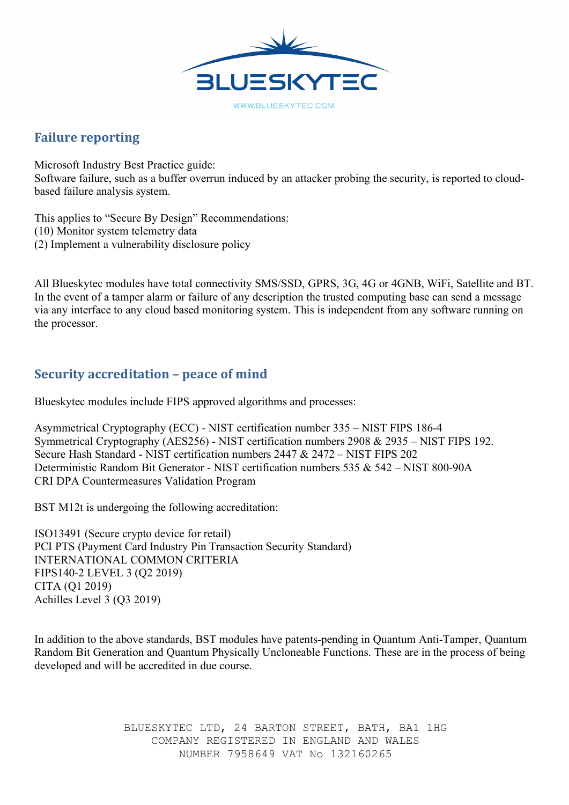

## **Failure reporting**

Microsoft Industry Best Practice guide: Software failure, such as a buffer overrun induced by an attacker probing the security, is reported to cloudbased failure analysis system.

This applies to "Secure By Design" Recommendations: (10) Monitor system telemetry data (2) Implement a vulnerability disclosure policy

All Blueskytec modules have total connectivity SMS/SSD, GPRS, 3G, 4G or 4GNB, WiFi, Satellite and BT. In the event of a tamper alarm or failure of any description the trusted computing base can send a message via any interface to any cloud based monitoring system. This is independent from any software running on the processor.

## **Security accreditation - peace of mind**

Blueskytec modules include FIPS approved algorithms and processes:

Asymmetrical Cryptography (ECC) - NIST certification number 335 – NIST FIPS 186-4 Symmetrical Cryptography (AES256) - NIST certification numbers 2908 & 2935 – NIST FIPS 192. Secure Hash Standard - NIST certification numbers 2447 & 2472 – NIST FIPS 202 Deterministic Random Bit Generator - NIST certification numbers 535 & 542 – NIST 800-90A CRI DPA Countermeasures Validation Program

BST M12t is undergoing the following accreditation:

ISO13491 (Secure crypto device for retail) PCI PTS (Payment Card Industry Pin Transaction Security Standard) INTERNATIONAL COMMON CRITERIA FIPS140-2 LEVEL 3 (Q2 2019) CITA (Q1 2019) Achilles Level 3 (Q3 2019)

In addition to the above standards, BST modules have patents-pending in Quantum Anti-Tamper, Quantum Random Bit Generation and Quantum Physically Uncloneable Functions. These are in the process of being developed and will be accredited in due course.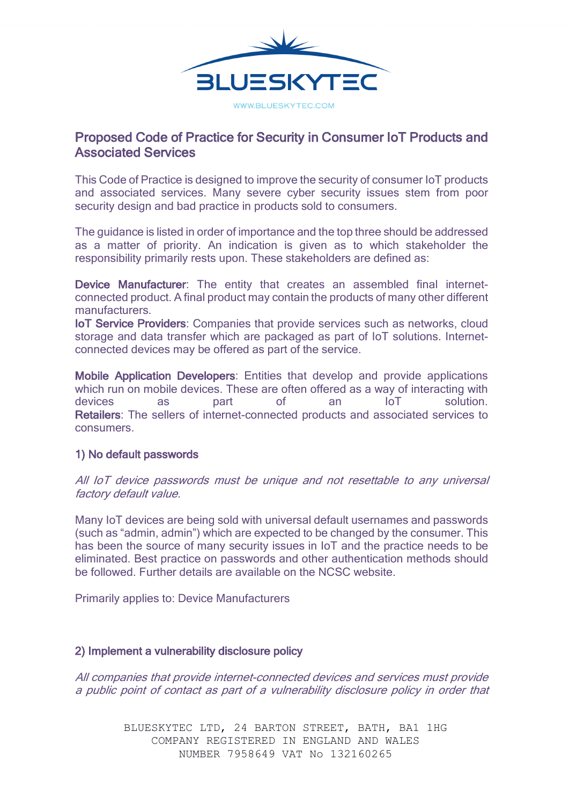

### Proposed Code of Practice for Security in Consumer IoT Products and Associated Services

This Code of Practice is designed to improve the security of consumer IoT products and associated services. Many severe cyber security issues stem from poor security design and bad practice in products sold to consumers.

The guidance is listed in order of importance and the top three should be addressed as a matter of priority. An indication is given as to which stakeholder the responsibility primarily rests upon. These stakeholders are defined as:

Device Manufacturer: The entity that creates an assembled final internetconnected product. A final product may contain the products of many other different manufacturers.

IoT Service Providers: Companies that provide services such as networks, cloud storage and data transfer which are packaged as part of IoT solutions. Internetconnected devices may be offered as part of the service.

Mobile Application Developers: Entities that develop and provide applications which run on mobile devices. These are often offered as a way of interacting with devices as part of an IoT solution. Retailers: The sellers of internet-connected products and associated services to consumers.

### 1) No default passwords

All IoT device passwords must be unique and not resettable to any universal factory default value.

Many IoT devices are being sold with universal default usernames and passwords (such as "admin, admin") which are expected to be changed by the consumer. This has been the source of many security issues in IoT and the practice needs to be eliminated. Best practice on passwords and other authentication methods should be followed. Further details are available on the NCSC website.

Primarily applies to: Device Manufacturers

#### 2) Implement a vulnerability disclosure policy

All companies that provide internet-connected devices and services must provide a public point of contact as part of a vulnerability disclosure policy in order that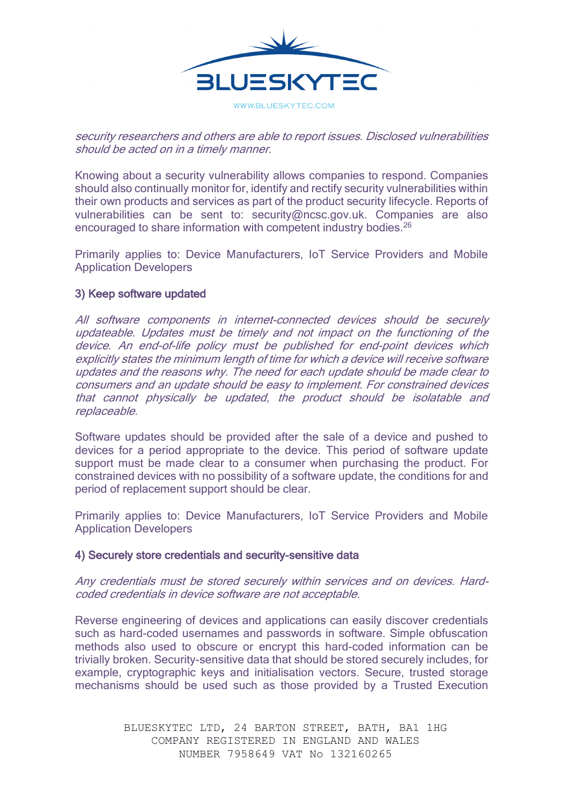

### security researchers and others are able to report issues. Disclosed vulnerabilities should be acted on in a timely manner.

Knowing about a security vulnerability allows companies to respond. Companies should also continually monitor for, identify and rectify security vulnerabilities within their own products and services as part of the product security lifecycle. Reports of vulnerabilities can be sent to: security@ncsc.gov.uk. Companies are also encouraged to share information with competent industry bodies.<sup>26</sup>

Primarily applies to: Device Manufacturers, IoT Service Providers and Mobile Application Developers

### 3) Keep software updated

All software components in internet-connected devices should be securely updateable. Updates must be timely and not impact on the functioning of the device. An end-of-life policy must be published for end-point devices which explicitly states the minimum length of time for which a device will receive software updates and the reasons why. The need for each update should be made clear to consumers and an update should be easy to implement. For constrained devices that cannot physically be updated, the product should be isolatable and replaceable.

Software updates should be provided after the sale of a device and pushed to devices for a period appropriate to the device. This period of software update support must be made clear to a consumer when purchasing the product. For constrained devices with no possibility of a software update, the conditions for and period of replacement support should be clear.

Primarily applies to: Device Manufacturers, IoT Service Providers and Mobile Application Developers

### 4) Securely store credentials and security-sensitive data

Any credentials must be stored securely within services and on devices. Hardcoded credentials in device software are not acceptable.

Reverse engineering of devices and applications can easily discover credentials such as hard-coded usernames and passwords in software. Simple obfuscation methods also used to obscure or encrypt this hard-coded information can be trivially broken. Security-sensitive data that should be stored securely includes, for example, cryptographic keys and initialisation vectors. Secure, trusted storage mechanisms should be used such as those provided by a Trusted Execution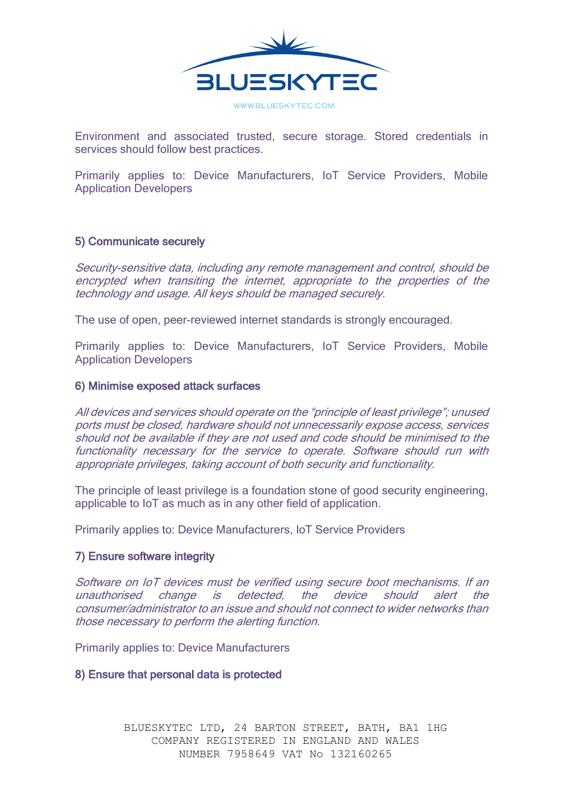

Environment and associated trusted, secure storage. Stored credentials in services should follow best practices.

Primarily applies to: Device Manufacturers, IoT Service Providers, Mobile Application Developers

### 5) Communicate securely

Security-sensitive data, including any remote management and control, should be encrypted when transiting the internet, appropriate to the properties of the technology and usage. All keys should be managed securely.

The use of open, peer-reviewed internet standards is strongly encouraged.

Primarily applies to: Device Manufacturers, IoT Service Providers, Mobile Application Developers

#### 6) Minimise exposed attack surfaces

All devices and services should operate on the "principle of least privilege"; unused ports must be closed, hardware should not unnecessarily expose access, services should not be available if they are not used and code should be minimised to the functionality necessary for the service to operate. Software should run with appropriate privileges, taking account of both security and functionality.

The principle of least privilege is a foundation stone of good security engineering, applicable to IoT as much as in any other field of application.

Primarily applies to: Device Manufacturers, IoT Service Providers

#### 7) Ensure software integrity

Software on IoT devices must be verified using secure boot mechanisms. If an unauthorised change is detected, the device should alert the consumer/administrator to an issue and should not connect to wider networks than those necessary to perform the alerting function.

Primarily applies to: Device Manufacturers

8) Ensure that personal data is protected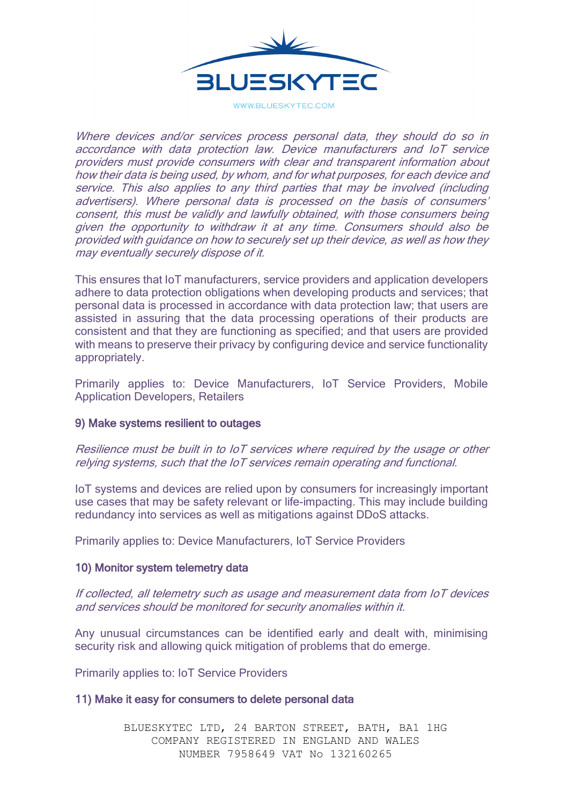

WWW.BLUESKYTEC.COM

Where devices and/or services process personal data, they should do so in accordance with data protection law. Device manufacturers and IoT service providers must provide consumers with clear and transparent information about how their data is being used, by whom, and for what purposes, for each device and service. This also applies to any third parties that may be involved (including advertisers). Where personal data is processed on the basis of consumers' consent, this must be validly and lawfully obtained, with those consumers being given the opportunity to withdraw it at any time. Consumers should also be provided with guidance on how to securely set up their device, as well as how they may eventually securely dispose of it.

This ensures that IoT manufacturers, service providers and application developers adhere to data protection obligations when developing products and services; that personal data is processed in accordance with data protection law; that users are assisted in assuring that the data processing operations of their products are consistent and that they are functioning as specified; and that users are provided with means to preserve their privacy by configuring device and service functionality appropriately.

Primarily applies to: Device Manufacturers, IoT Service Providers, Mobile Application Developers, Retailers

### 9) Make systems resilient to outages

Resilience must be built in to IoT services where required by the usage or other relying systems, such that the IoT services remain operating and functional.

IoT systems and devices are relied upon by consumers for increasingly important use cases that may be safety relevant or life-impacting. This may include building redundancy into services as well as mitigations against DDoS attacks.

Primarily applies to: Device Manufacturers, IoT Service Providers

#### 10) Monitor system telemetry data

If collected, all telemetry such as usage and measurement data from IoT devices and services should be monitored for security anomalies within it.

Any unusual circumstances can be identified early and dealt with, minimising security risk and allowing quick mitigation of problems that do emerge.

Primarily applies to: IoT Service Providers

#### 11) Make it easy for consumers to delete personal data